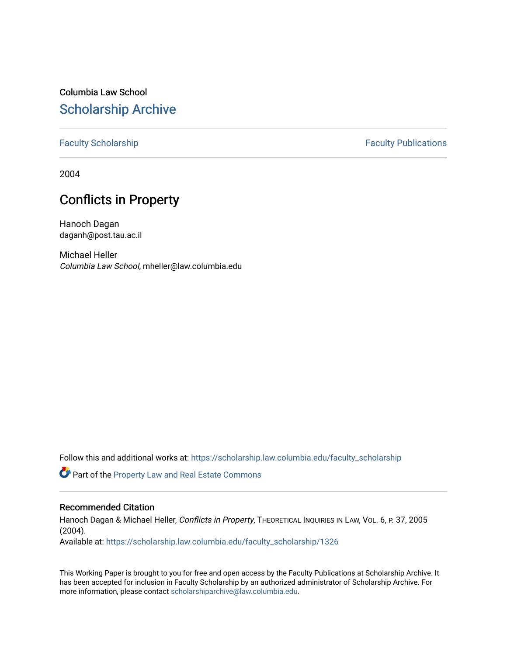# Columbia Law School [Scholarship Archive](https://scholarship.law.columbia.edu/)

## [Faculty Scholarship](https://scholarship.law.columbia.edu/faculty_scholarship) **Faculty Scholarship** Faculty Publications

2004

# Conflicts in Property

Hanoch Dagan daganh@post.tau.ac.il

Michael Heller Columbia Law School, mheller@law.columbia.edu

Follow this and additional works at: [https://scholarship.law.columbia.edu/faculty\\_scholarship](https://scholarship.law.columbia.edu/faculty_scholarship?utm_source=scholarship.law.columbia.edu%2Ffaculty_scholarship%2F1326&utm_medium=PDF&utm_campaign=PDFCoverPages)

Part of the [Property Law and Real Estate Commons](http://network.bepress.com/hgg/discipline/897?utm_source=scholarship.law.columbia.edu%2Ffaculty_scholarship%2F1326&utm_medium=PDF&utm_campaign=PDFCoverPages) 

## Recommended Citation

Hanoch Dagan & Michael Heller, Conflicts in Property, THEORETICAL INQUIRIES IN LAW, VOL. 6, P. 37, 2005 (2004).

Available at: [https://scholarship.law.columbia.edu/faculty\\_scholarship/1326](https://scholarship.law.columbia.edu/faculty_scholarship/1326?utm_source=scholarship.law.columbia.edu%2Ffaculty_scholarship%2F1326&utm_medium=PDF&utm_campaign=PDFCoverPages)

This Working Paper is brought to you for free and open access by the Faculty Publications at Scholarship Archive. It has been accepted for inclusion in Faculty Scholarship by an authorized administrator of Scholarship Archive. For more information, please contact [scholarshiparchive@law.columbia.edu.](mailto:scholarshiparchive@law.columbia.edu)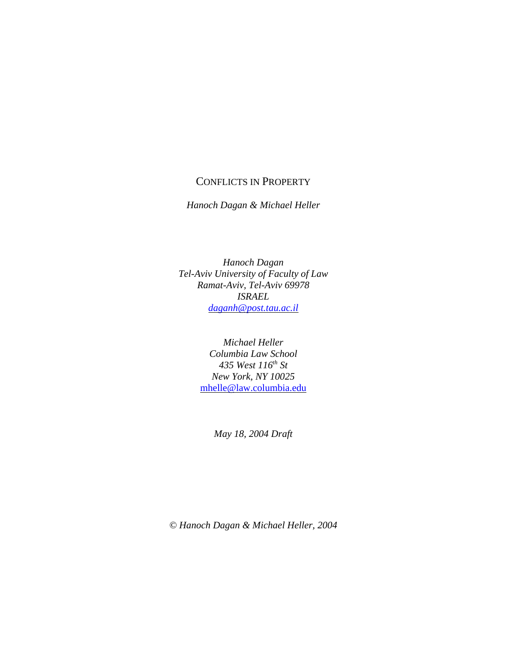## CONFLICTS IN PROPERTY

*Hanoch Dagan & Michael Heller*

*Hanoch Dagan Tel-Aviv University of Faculty of Law Ramat-Aviv, Tel-Aviv 69978 ISRAEL daganh@post.tau.ac.il*

> *Michael Heller Columbia Law School 435 West 116th St New York, NY 10025* mhelle@law.columbia.edu

> > *May 18, 2004 Draft*

*© Hanoch Dagan & Michael Heller, 2004*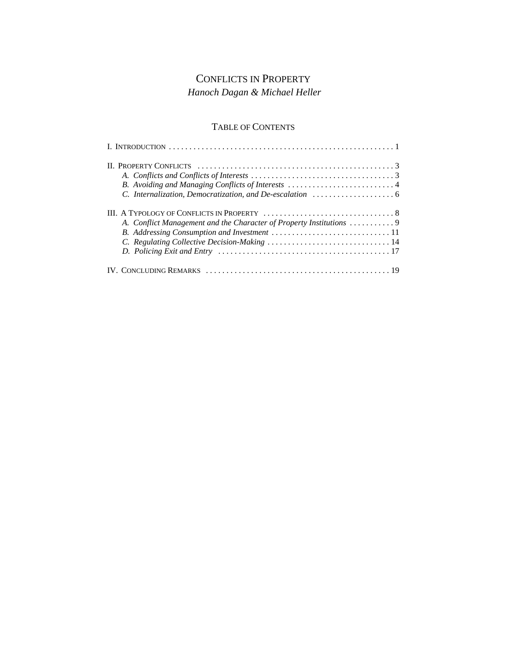# CONFLICTS IN PROPERTY *Hanoch Dagan & Michael Heller*

## TABLE OF CONTENTS

| B. Avoiding and Managing Conflicts of Interests 4                 |
|-------------------------------------------------------------------|
| A. Conflict Management and the Character of Property Institutions |
|                                                                   |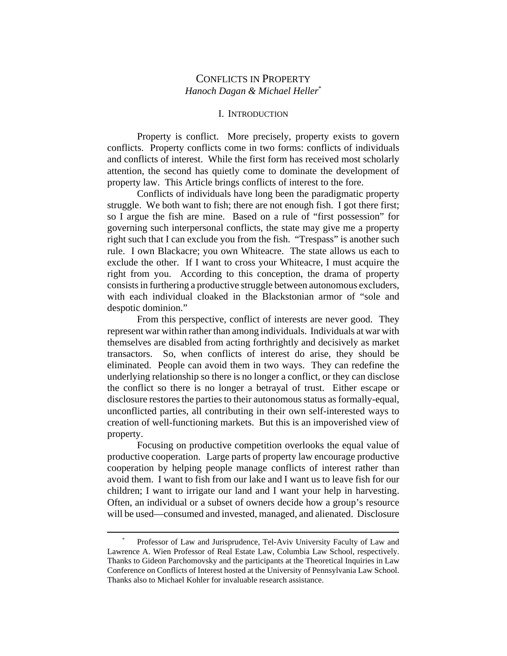## CONFLICTS IN PROPERTY *Hanoch Dagan & Michael Heller*\*

#### I. INTRODUCTION

Property is conflict. More precisely, property exists to govern conflicts. Property conflicts come in two forms: conflicts of individuals and conflicts of interest. While the first form has received most scholarly attention, the second has quietly come to dominate the development of property law. This Article brings conflicts of interest to the fore.

Conflicts of individuals have long been the paradigmatic property struggle. We both want to fish; there are not enough fish. I got there first; so I argue the fish are mine. Based on a rule of "first possession" for governing such interpersonal conflicts, the state may give me a property right such that I can exclude you from the fish. "Trespass" is another such rule. I own Blackacre; you own Whiteacre. The state allows us each to exclude the other. If I want to cross your Whiteacre, I must acquire the right from you. According to this conception, the drama of property consists in furthering a productive struggle between autonomous excluders, with each individual cloaked in the Blackstonian armor of "sole and despotic dominion."

From this perspective, conflict of interests are never good. They represent war within rather than among individuals. Individuals at war with themselves are disabled from acting forthrightly and decisively as market transactors. So, when conflicts of interest do arise, they should be eliminated. People can avoid them in two ways. They can redefine the underlying relationship so there is no longer a conflict, or they can disclose the conflict so there is no longer a betrayal of trust. Either escape or disclosure restores the parties to their autonomous status as formally-equal, unconflicted parties, all contributing in their own self-interested ways to creation of well-functioning markets. But this is an impoverished view of property.

Focusing on productive competition overlooks the equal value of productive cooperation. Large parts of property law encourage productive cooperation by helping people manage conflicts of interest rather than avoid them. I want to fish from our lake and I want us to leave fish for our children; I want to irrigate our land and I want your help in harvesting. Often, an individual or a subset of owners decide how a group's resource will be used—consumed and invested, managed, and alienated. Disclosure

Professor of Law and Jurisprudence, Tel-Aviv University Faculty of Law and Lawrence A. Wien Professor of Real Estate Law, Columbia Law School, respectively. Thanks to Gideon Parchomovsky and the participants at the Theoretical Inquiries in Law Conference on Conflicts of Interest hosted at the University of Pennsylvania Law School. Thanks also to Michael Kohler for invaluable research assistance.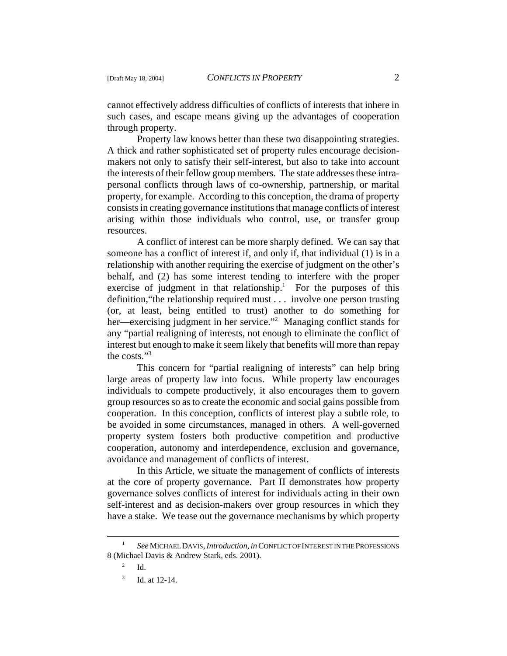cannot effectively address difficulties of conflicts of interests that inhere in such cases, and escape means giving up the advantages of cooperation through property.

Property law knows better than these two disappointing strategies. A thick and rather sophisticated set of property rules encourage decisionmakers not only to satisfy their self-interest, but also to take into account the interests of their fellow group members. The state addresses these intrapersonal conflicts through laws of co-ownership, partnership, or marital property, for example. According to this conception, the drama of property consists in creating governance institutions that manage conflicts of interest arising within those individuals who control, use, or transfer group resources.

A conflict of interest can be more sharply defined. We can say that someone has a conflict of interest if, and only if, that individual (1) is in a relationship with another requiring the exercise of judgment on the other's behalf, and (2) has some interest tending to interfere with the proper exercise of judgment in that relationship.<sup>1</sup> For the purposes of this definition,"the relationship required must . . . involve one person trusting (or, at least, being entitled to trust) another to do something for her—exercising judgment in her service."<sup>2</sup> Managing conflict stands for any "partial realigning of interests, not enough to eliminate the conflict of interest but enough to make it seem likely that benefits will more than repay the costs."3

This concern for "partial realigning of interests" can help bring large areas of property law into focus. While property law encourages individuals to compete productively, it also encourages them to govern group resources so as to create the economic and social gains possible from cooperation. In this conception, conflicts of interest play a subtle role, to be avoided in some circumstances, managed in others. A well-governed property system fosters both productive competition and productive cooperation, autonomy and interdependence, exclusion and governance, avoidance and management of conflicts of interest.

In this Article, we situate the management of conflicts of interests at the core of property governance. Part II demonstrates how property governance solves conflicts of interest for individuals acting in their own self-interest and as decision-makers over group resources in which they have a stake. We tease out the governance mechanisms by which property

<sup>1</sup> *See* MICHAEL DAVIS, *Introduction, in* CONFLICT OF INTEREST IN THE PROFESSIONS 8 (Michael Davis & Andrew Stark, eds. 2001).

 $^{2}$  Id.

Id. at 12-14.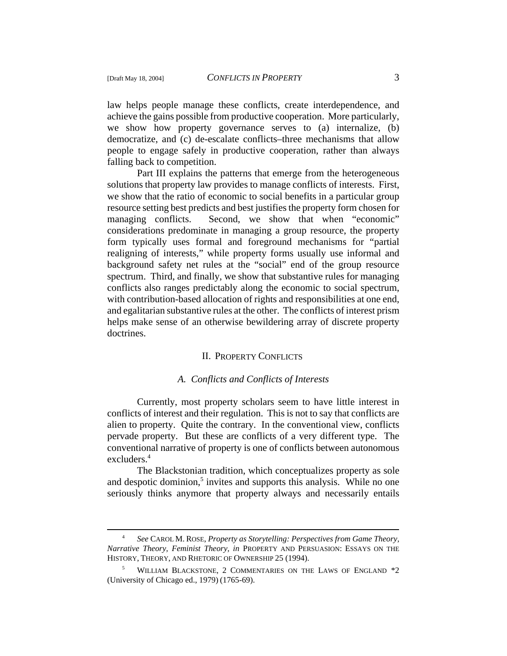law helps people manage these conflicts, create interdependence, and achieve the gains possible from productive cooperation. More particularly, we show how property governance serves to (a) internalize, (b) democratize, and (c) de-escalate conflicts–three mechanisms that allow people to engage safely in productive cooperation, rather than always falling back to competition.

Part III explains the patterns that emerge from the heterogeneous solutions that property law provides to manage conflicts of interests. First, we show that the ratio of economic to social benefits in a particular group resource setting best predicts and best justifies the property form chosen for managing conflicts. Second, we show that when "economic" considerations predominate in managing a group resource, the property form typically uses formal and foreground mechanisms for "partial realigning of interests," while property forms usually use informal and background safety net rules at the "social" end of the group resource spectrum. Third, and finally, we show that substantive rules for managing conflicts also ranges predictably along the economic to social spectrum, with contribution-based allocation of rights and responsibilities at one end, and egalitarian substantive rules at the other. The conflicts of interest prism helps make sense of an otherwise bewildering array of discrete property doctrines.

#### II. PROPERTY CONFLICTS

### *A. Conflicts and Conflicts of Interests*

Currently, most property scholars seem to have little interest in conflicts of interest and their regulation. This is not to say that conflicts are alien to property. Quite the contrary. In the conventional view, conflicts pervade property. But these are conflicts of a very different type. The conventional narrative of property is one of conflicts between autonomous excluders.<sup>4</sup>

The Blackstonian tradition, which conceptualizes property as sole and despotic dominion,<sup>5</sup> invites and supports this analysis. While no one seriously thinks anymore that property always and necessarily entails

<sup>4</sup> *See* CAROL M. ROSE, *Property as Storytelling: Perspectives from Game Theory, Narrative Theory, Feminist Theory, in* PROPERTY AND PERSUASION: ESSAYS ON THE HISTORY, THEORY, AND RHETORIC OF OWNERSHIP 25 (1994).

WILLIAM BLACKSTONE, 2 COMMENTARIES ON THE LAWS OF ENGLAND \*2 (University of Chicago ed., 1979) (1765-69).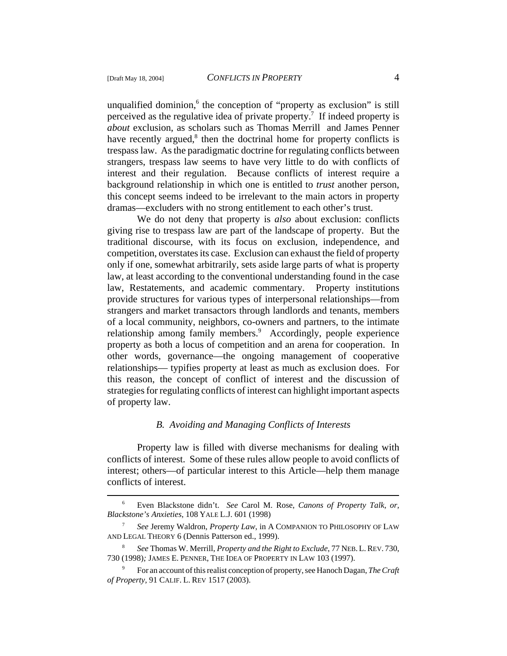unqualified dominion,<sup>6</sup> the conception of "property as exclusion" is still perceived as the regulative idea of private property.<sup>7</sup> If indeed property is *about* exclusion, as scholars such as Thomas Merrill and James Penner have recently argued,<sup>8</sup> then the doctrinal home for property conflicts is trespass law. As the paradigmatic doctrine for regulating conflicts between strangers, trespass law seems to have very little to do with conflicts of interest and their regulation. Because conflicts of interest require a background relationship in which one is entitled to *trust* another person, this concept seems indeed to be irrelevant to the main actors in property dramas—excluders with no strong entitlement to each other's trust.

We do not deny that property is *also* about exclusion: conflicts giving rise to trespass law are part of the landscape of property. But the traditional discourse, with its focus on exclusion, independence, and competition, overstates its case. Exclusion can exhaust the field of property only if one, somewhat arbitrarily, sets aside large parts of what is property law, at least according to the conventional understanding found in the case law, Restatements, and academic commentary. Property institutions provide structures for various types of interpersonal relationships—from strangers and market transactors through landlords and tenants, members of a local community, neighbors, co-owners and partners, to the intimate relationship among family members.<sup>9</sup> Accordingly, people experience property as both a locus of competition and an arena for cooperation. In other words, governance—the ongoing management of cooperative relationships— typifies property at least as much as exclusion does. For this reason, the concept of conflict of interest and the discussion of strategies for regulating conflicts of interest can highlight important aspects of property law.

### *B. Avoiding and Managing Conflicts of Interests*

Property law is filled with diverse mechanisms for dealing with conflicts of interest. Some of these rules allow people to avoid conflicts of interest; others—of particular interest to this Article—help them manage conflicts of interest.

<sup>6</sup> Even Blackstone didn't. *See* Carol M. Rose, *Canons of Property Talk, or, Blackstone's Anxieties*, 108 YALE L.J. 601 (1998)

<sup>7</sup> *See* Jeremy Waldron, *Property Law*, in A COMPANION TO PHILOSOPHY OF LAW AND LEGAL THEORY 6 (Dennis Patterson ed., 1999).

<sup>8</sup> *See* Thomas W. Merrill, *Property and the Right to Exclude*, 77 NEB.L.REV. 730, 730 (1998)*;* JAMES E. PENNER, THE IDEA OF PROPERTY IN LAW 103 (1997).

<sup>9</sup> For an account of this realist conception of property, see Hanoch Dagan, *The Craft of Property,* 91 CALIF. L. REV 1517 (2003).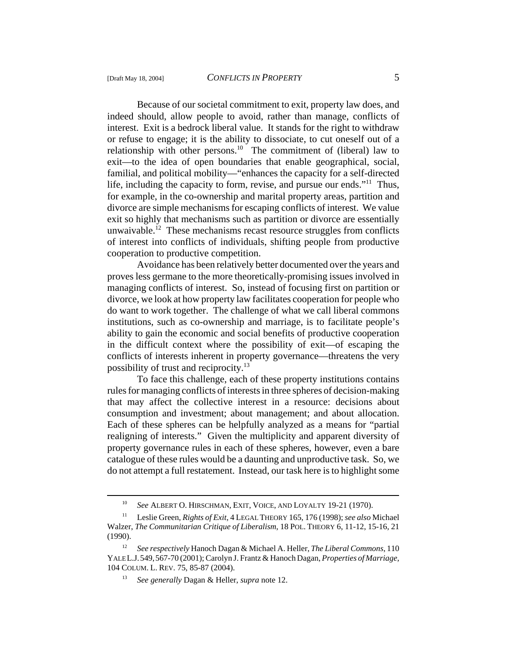Because of our societal commitment to exit, property law does, and indeed should, allow people to avoid, rather than manage, conflicts of interest. Exit is a bedrock liberal value. It stands for the right to withdraw or refuse to engage; it is the ability to dissociate, to cut oneself out of a relationship with other persons.<sup>10</sup> The commitment of (liberal) law to exit—to the idea of open boundaries that enable geographical, social, familial, and political mobility—"enhances the capacity for a self-directed life, including the capacity to form, revise, and pursue our ends."11 Thus, for example, in the co-ownership and marital property areas, partition and divorce are simple mechanisms for escaping conflicts of interest. We value exit so highly that mechanisms such as partition or divorce are essentially unwaivable.<sup>12</sup> These mechanisms recast resource struggles from conflicts of interest into conflicts of individuals, shifting people from productive cooperation to productive competition.

Avoidance has been relatively better documented over the years and proves less germane to the more theoretically-promising issues involved in managing conflicts of interest. So, instead of focusing first on partition or divorce, we look at how property law facilitates cooperation for people who do want to work together. The challenge of what we call liberal commons institutions, such as co-ownership and marriage, is to facilitate people's ability to gain the economic and social benefits of productive cooperation in the difficult context where the possibility of exit—of escaping the conflicts of interests inherent in property governance—threatens the very possibility of trust and reciprocity.13

To face this challenge, each of these property institutions contains rules for managing conflicts of interests in three spheres of decision-making that may affect the collective interest in a resource: decisions about consumption and investment; about management; and about allocation. Each of these spheres can be helpfully analyzed as a means for "partial realigning of interests." Given the multiplicity and apparent diversity of property governance rules in each of these spheres, however, even a bare catalogue of these rules would be a daunting and unproductive task. So, we do not attempt a full restatement. Instead, our task here is to highlight some

<sup>10</sup> *See* ALBERT O. HIRSCHMAN, EXIT, VOICE, AND LOYALTY 19-21 (1970).

<sup>11</sup> Leslie Green, *Rights of Exit*, 4 LEGAL THEORY 165, 176 (1998); *see also* Michael Walzer, *The Communitarian Critique of Liberalism*, 18 POL. THEORY 6, 11-12, 15-16, 21 (1990).

<sup>12</sup> *See respectively* Hanoch Dagan & Michael A. Heller, *The Liberal Commons*, 110 YALE L.J.549,567-70 (2001); Carolyn J. Frantz & Hanoch Dagan, *Properties of Marriage,* 104 COLUM. L. REV. 75, 85-87 (2004).

<sup>13</sup> *See generally* Dagan & Heller, *supra* note 12.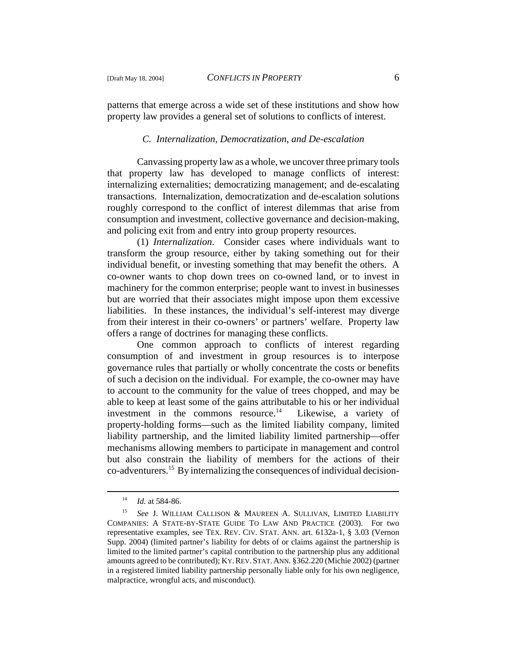patterns that emerge across a wide set of these institutions and show how property law provides a general set of solutions to conflicts of interest.

#### *C. Internalization, Democratization, and De-escalation*

Canvassing property law as a whole, we uncover three primary tools that property law has developed to manage conflicts of interest: internalizing externalities; democratizing management; and de-escalating transactions. Internalization, democratization and de-escalation solutions roughly correspond to the conflict of interest dilemmas that arise from consumption and investment, collective governance and decision-making, and policing exit from and entry into group property resources.

(1) *Internalization*. Consider cases where individuals want to transform the group resource, either by taking something out for their individual benefit, or investing something that may benefit the others. A co-owner wants to chop down trees on co-owned land, or to invest in machinery for the common enterprise; people want to invest in businesses but are worried that their associates might impose upon them excessive liabilities. In these instances, the individual's self-interest may diverge from their interest in their co-owners' or partners' welfare. Property law offers a range of doctrines for managing these conflicts.

One common approach to conflicts of interest regarding consumption of and investment in group resources is to interpose governance rules that partially or wholly concentrate the costs or benefits of such a decision on the individual. For example, the co-owner may have to account to the community for the value of trees chopped, and may be able to keep at least some of the gains attributable to his or her individual investment in the commons resource.<sup>14</sup> Likewise, a variety of property-holding forms—such as the limited liability company, limited liability partnership, and the limited liability limited partnership—offer mechanisms allowing members to participate in management and control but also constrain the liability of members for the actions of their co-adventurers.15 By internalizing the consequences of individual decision-

<sup>14</sup> *Id.* at 584-86.

<sup>15</sup> *See* J. WILLIAM CALLISON & MAUREEN A. SULLIVAN, LIMITED LIABILITY COMPANIES: A STATE-BY-STATE GUIDE TO LAW AND PRACTICE (2003). For two representative examples, see TEX. REV. CIV. STAT. ANN. art. 6132a-1, § 3.03 (Vernon Supp. 2004) (limited partner's liability for debts of or claims against the partnership is limited to the limited partner's capital contribution to the partnership plus any additional amounts agreed to be contributed); KY.REV.STAT.ANN. §362.220 (Michie 2002) (partner in a registered limited liability partnership personally liable only for his own negligence, malpractice, wrongful acts, and misconduct).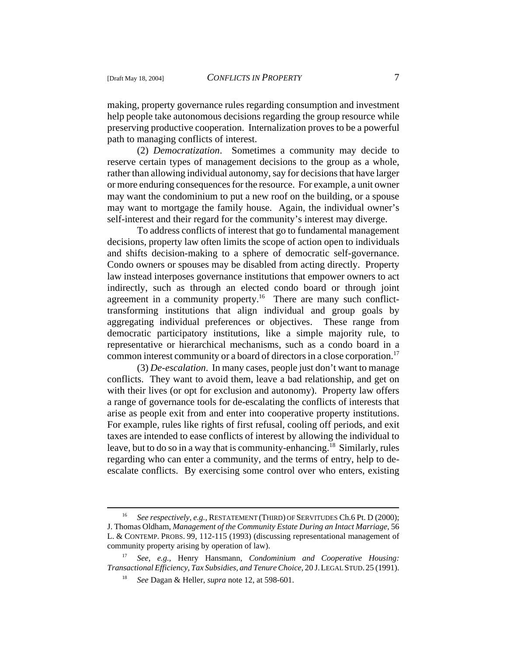making, property governance rules regarding consumption and investment help people take autonomous decisions regarding the group resource while preserving productive cooperation. Internalization proves to be a powerful path to managing conflicts of interest.

(2) *Democratization*. Sometimes a community may decide to reserve certain types of management decisions to the group as a whole, rather than allowing individual autonomy, say for decisions that have larger or more enduring consequences for the resource. For example, a unit owner may want the condominium to put a new roof on the building, or a spouse may want to mortgage the family house. Again, the individual owner's self-interest and their regard for the community's interest may diverge.

To address conflicts of interest that go to fundamental management decisions, property law often limits the scope of action open to individuals and shifts decision-making to a sphere of democratic self-governance. Condo owners or spouses may be disabled from acting directly. Property law instead interposes governance institutions that empower owners to act indirectly, such as through an elected condo board or through joint agreement in a community property.<sup>16</sup> There are many such conflicttransforming institutions that align individual and group goals by aggregating individual preferences or objectives. These range from democratic participatory institutions, like a simple majority rule, to representative or hierarchical mechanisms, such as a condo board in a common interest community or a board of directors in a close corporation.<sup>17</sup>

(3) *De-escalation*. In many cases, people just don't want to manage conflicts. They want to avoid them, leave a bad relationship, and get on with their lives (or opt for exclusion and autonomy). Property law offers a range of governance tools for de-escalating the conflicts of interests that arise as people exit from and enter into cooperative property institutions. For example, rules like rights of first refusal, cooling off periods, and exit taxes are intended to ease conflicts of interest by allowing the individual to leave, but to do so in a way that is community-enhancing.<sup>18</sup> Similarly, rules regarding who can enter a community, and the terms of entry, help to deescalate conflicts. By exercising some control over who enters, existing

<sup>16</sup> *See respectively, e.g.*, RESTATEMENT (THIRD) OF SERVITUDES Ch.6 Pt. D (2000); J. Thomas Oldham, *Management of the Community Estate During an Intact Marriage*, 56 L. & CONTEMP. PROBS. 99, 112-115 (1993) (discussing representational management of community property arising by operation of law).

<sup>17</sup> *See, e.g.,* Henry Hansmann, *Condominium and Cooperative Housing: Transactional Efficiency, Tax Subsidies, and Tenure Choice*, 20 J.LEGAL STUD.25 (1991).

<sup>18</sup> *See* Dagan & Heller, *supra* note 12, at 598-601.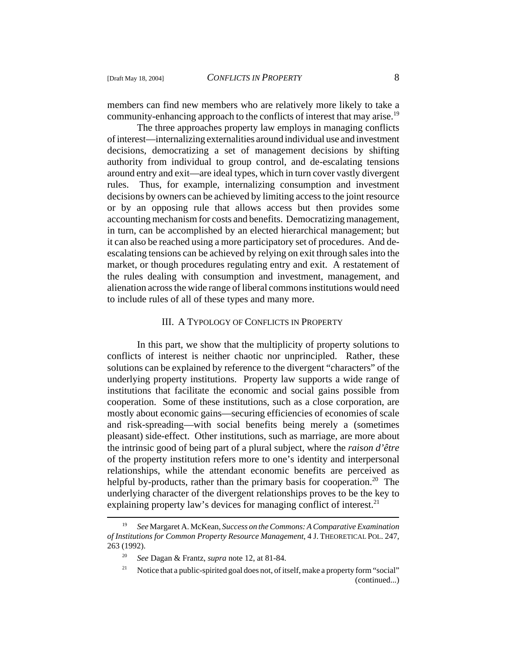members can find new members who are relatively more likely to take a community-enhancing approach to the conflicts of interest that may arise.<sup>19</sup>

The three approaches property law employs in managing conflicts of interest—internalizing externalities around individual use and investment decisions, democratizing a set of management decisions by shifting authority from individual to group control, and de-escalating tensions around entry and exit—are ideal types, which in turn cover vastly divergent rules. Thus, for example, internalizing consumption and investment decisions by owners can be achieved by limiting access to the joint resource or by an opposing rule that allows access but then provides some accounting mechanism for costs and benefits. Democratizing management, in turn, can be accomplished by an elected hierarchical management; but it can also be reached using a more participatory set of procedures. And deescalating tensions can be achieved by relying on exit through sales into the market, or though procedures regulating entry and exit. A restatement of the rules dealing with consumption and investment, management, and alienation across the wide range of liberal commons institutions would need to include rules of all of these types and many more.

#### III. A TYPOLOGY OF CONFLICTS IN PROPERTY

In this part, we show that the multiplicity of property solutions to conflicts of interest is neither chaotic nor unprincipled. Rather, these solutions can be explained by reference to the divergent "characters" of the underlying property institutions. Property law supports a wide range of institutions that facilitate the economic and social gains possible from cooperation. Some of these institutions, such as a close corporation, are mostly about economic gains—securing efficiencies of economies of scale and risk-spreading—with social benefits being merely a (sometimes pleasant) side-effect. Other institutions, such as marriage, are more about the intrinsic good of being part of a plural subject, where the *raison d'être* of the property institution refers more to one's identity and interpersonal relationships, while the attendant economic benefits are perceived as helpful by-products, rather than the primary basis for cooperation.<sup>20</sup> The underlying character of the divergent relationships proves to be the key to explaining property law's devices for managing conflict of interest. $^{21}$ 

<sup>19</sup> *See* Margaret A. McKean, *Success on the Commons: A Comparative Examination of Institutions for Common Property Resource Management*, 4 J. THEORETICAL POL. 247, 263 (1992).

<sup>20</sup> *See* Dagan & Frantz, *supra* note 12, at 81-84.

<sup>&</sup>lt;sup>21</sup> Notice that a public-spirited goal does not, of itself, make a property form "social" (continued...)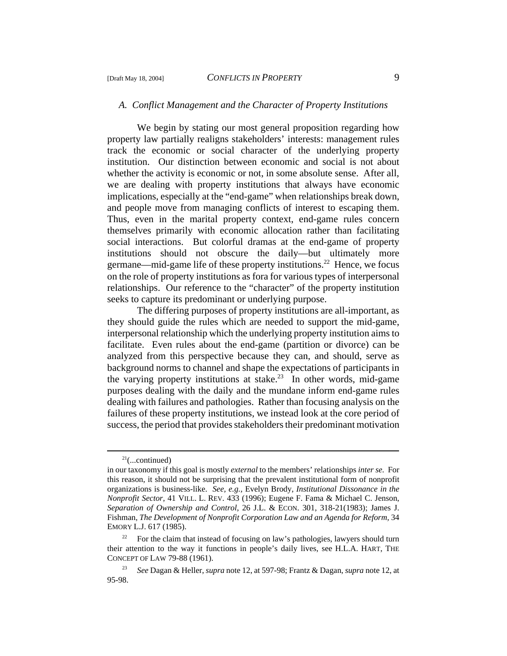### *A. Conflict Management and the Character of Property Institutions*

We begin by stating our most general proposition regarding how property law partially realigns stakeholders' interests: management rules track the economic or social character of the underlying property institution. Our distinction between economic and social is not about whether the activity is economic or not, in some absolute sense. After all, we are dealing with property institutions that always have economic implications, especially at the "end-game" when relationships break down, and people move from managing conflicts of interest to escaping them. Thus, even in the marital property context, end-game rules concern themselves primarily with economic allocation rather than facilitating social interactions. But colorful dramas at the end-game of property institutions should not obscure the daily—but ultimately more germane—mid-game life of these property institutions.<sup>22</sup> Hence, we focus on the role of property institutions as fora for various types of interpersonal relationships. Our reference to the "character" of the property institution seeks to capture its predominant or underlying purpose.

The differing purposes of property institutions are all-important, as they should guide the rules which are needed to support the mid-game, interpersonal relationship which the underlying property institution aims to facilitate. Even rules about the end-game (partition or divorce) can be analyzed from this perspective because they can, and should, serve as background norms to channel and shape the expectations of participants in the varying property institutions at stake.<sup>23</sup> In other words, mid-game purposes dealing with the daily and the mundane inform end-game rules dealing with failures and pathologies. Rather than focusing analysis on the failures of these property institutions, we instead look at the core period of success, the period that provides stakeholders their predominant motivation

 $21$ (...continued)

in our taxonomy if this goal is mostly *external* to the members' relationships *inter se.* For this reason, it should not be surprising that the prevalent institutional form of nonprofit organizations is business-like. *See, e.g.,* Evelyn Brody, *Institutional Dissonance in the Nonprofit Sector,* 41 VILL. L. REV. 433 (1996); Eugene F. Fama & Michael C. Jenson, *Separation of Ownership and Control*, 26 J.L. & ECON. 301, 318-21(1983); James J. Fishman, *The Development of Nonprofit Corporation Law and an Agenda for Reform,* 34 EMORY L.J. 617 (1985).

<sup>&</sup>lt;sup>22</sup> For the claim that instead of focusing on law's pathologies, lawyers should turn their attention to the way it functions in people's daily lives, see H.L.A. HART, THE CONCEPT OF LAW 79-88 (1961).

<sup>23</sup> *See* Dagan & Heller, *supra* note 12, at 597-98; Frantz & Dagan, *supra* note 12, at 95-98.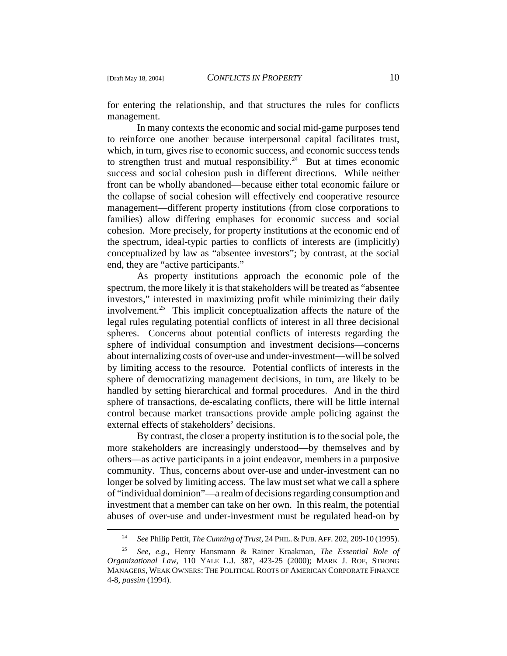for entering the relationship, and that structures the rules for conflicts management.

In many contexts the economic and social mid-game purposes tend to reinforce one another because interpersonal capital facilitates trust, which, in turn, gives rise to economic success, and economic success tends to strengthen trust and mutual responsibility.<sup>24</sup> But at times economic success and social cohesion push in different directions. While neither front can be wholly abandoned—because either total economic failure or the collapse of social cohesion will effectively end cooperative resource management—different property institutions (from close corporations to families) allow differing emphases for economic success and social cohesion. More precisely, for property institutions at the economic end of the spectrum, ideal-typic parties to conflicts of interests are (implicitly) conceptualized by law as "absentee investors"; by contrast, at the social end, they are "active participants."

As property institutions approach the economic pole of the spectrum, the more likely it is that stakeholders will be treated as "absentee investors," interested in maximizing profit while minimizing their daily involvement.<sup>25</sup> This implicit conceptualization affects the nature of the legal rules regulating potential conflicts of interest in all three decisional spheres. Concerns about potential conflicts of interests regarding the sphere of individual consumption and investment decisions—concerns about internalizing costs of over-use and under-investment—will be solved by limiting access to the resource. Potential conflicts of interests in the sphere of democratizing management decisions, in turn, are likely to be handled by setting hierarchical and formal procedures. And in the third sphere of transactions, de-escalating conflicts, there will be little internal control because market transactions provide ample policing against the external effects of stakeholders' decisions.

By contrast, the closer a property institution is to the social pole, the more stakeholders are increasingly understood—by themselves and by others—as active participants in a joint endeavor, members in a purposive community. Thus, concerns about over-use and under-investment can no longer be solved by limiting access. The law must set what we call a sphere of "individual dominion"—a realm of decisions regarding consumption and investment that a member can take on her own. In this realm, the potential abuses of over-use and under-investment must be regulated head-on by

<sup>24</sup> *See* Philip Pettit, *The Cunning of Trust*, 24 PHIL.&PUB.AFF. 202, 209-10 (1995).

<sup>25</sup> *See, e.g.,* Henry Hansmann & Rainer Kraakman, *The Essential Role of Organizational Law*, 110 YALE L.J. 387, 423-25 (2000); MARK J. ROE, STRONG MANAGERS, WEAK OWNERS: THE POLITICAL ROOTS OF AMERICAN CORPORATE FINANCE 4-8, *passim* (1994).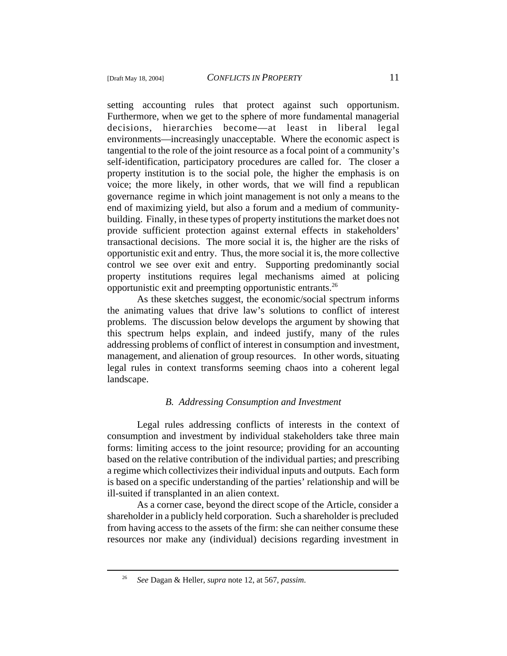setting accounting rules that protect against such opportunism. Furthermore, when we get to the sphere of more fundamental managerial decisions, hierarchies become—at least in liberal legal environments—increasingly unacceptable. Where the economic aspect is tangential to the role of the joint resource as a focal point of a community's self-identification, participatory procedures are called for. The closer a property institution is to the social pole, the higher the emphasis is on voice; the more likely, in other words, that we will find a republican governance regime in which joint management is not only a means to the end of maximizing yield, but also a forum and a medium of communitybuilding. Finally, in these types of property institutions the market does not provide sufficient protection against external effects in stakeholders' transactional decisions. The more social it is, the higher are the risks of opportunistic exit and entry. Thus, the more social it is, the more collective control we see over exit and entry. Supporting predominantly social property institutions requires legal mechanisms aimed at policing opportunistic exit and preempting opportunistic entrants.26

As these sketches suggest, the economic/social spectrum informs the animating values that drive law's solutions to conflict of interest problems. The discussion below develops the argument by showing that this spectrum helps explain, and indeed justify, many of the rules addressing problems of conflict of interest in consumption and investment, management, and alienation of group resources. In other words, situating legal rules in context transforms seeming chaos into a coherent legal landscape.

## *B. Addressing Consumption and Investment*

Legal rules addressing conflicts of interests in the context of consumption and investment by individual stakeholders take three main forms: limiting access to the joint resource; providing for an accounting based on the relative contribution of the individual parties; and prescribing a regime which collectivizes their individual inputs and outputs. Each form is based on a specific understanding of the parties' relationship and will be ill-suited if transplanted in an alien context.

As a corner case, beyond the direct scope of the Article, consider a shareholder in a publicly held corporation. Such a shareholder is precluded from having access to the assets of the firm: she can neither consume these resources nor make any (individual) decisions regarding investment in

<sup>26</sup> *See* Dagan & Heller, *supra* note 12, at 567, *passim*.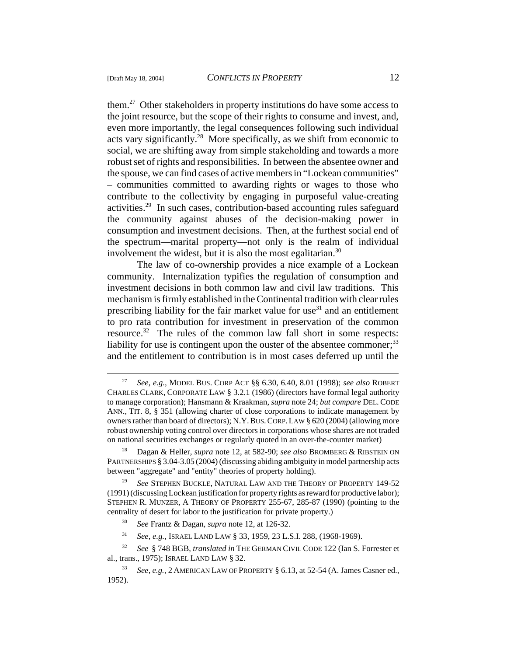them.27 Other stakeholders in property institutions do have some access to the joint resource, but the scope of their rights to consume and invest, and, even more importantly, the legal consequences following such individual acts vary significantly.<sup>28</sup> More specifically, as we shift from economic to social, we are shifting away from simple stakeholding and towards a more robust set of rights and responsibilities. In between the absentee owner and the spouse, we can find cases of active members in "Lockean communities" – communities committed to awarding rights or wages to those who contribute to the collectivity by engaging in purposeful value-creating activities.29 In such cases, contribution-based accounting rules safeguard the community against abuses of the decision-making power in consumption and investment decisions. Then, at the furthest social end of the spectrum—marital property—not only is the realm of individual involvement the widest, but it is also the most egalitarian.<sup>30</sup>

The law of co-ownership provides a nice example of a Lockean community. Internalization typifies the regulation of consumption and investment decisions in both common law and civil law traditions. This mechanism is firmly established in the Continental tradition with clear rules prescribing liability for the fair market value for use $31$  and an entitlement to pro rata contribution for investment in preservation of the common resource.<sup>32</sup> The rules of the common law fall short in some respects: liability for use is contingent upon the ouster of the absentee commoner;<sup>33</sup> and the entitlement to contribution is in most cases deferred up until the

<sup>27</sup> *See*, *e.g.,* MODEL BUS. CORP ACT §§ 6.30, 6.40, 8.01 (1998); *see also* ROBERT CHARLES CLARK, CORPORATE LAW § 3.2.1 (1986) (directors have formal legal authority to manage corporation); Hansmann & Kraakman, *supra* note 24; *but compare* DEL.CODE ANN., TIT. 8, § 351 (allowing charter of close corporations to indicate management by owners rather than board of directors); N.Y.BUS.CORP.LAW § 620 (2004) (allowing more robust ownership voting control over directors in corporations whose shares are not traded on national securities exchanges or regularly quoted in an over-the-counter market)

<sup>28</sup> Dagan & Heller, *supra* note 12, at 582-90; *see also* BROMBERG & RIBSTEIN ON PARTNERSHIPS § 3.04-3.05 (2004) (discussing abiding ambiguity in model partnership acts between "aggregate" and "entity" theories of property holding).

<sup>29</sup> *See* STEPHEN BUCKLE, NATURAL LAW AND THE THEORY OF PROPERTY 149-52 (1991) (discussing Lockean justification for property rights as reward for productive labor); STEPHEN R. MUNZER, A THEORY OF PROPERTY 255-67, 285-87 (1990) (pointing to the centrality of desert for labor to the justification for private property.)

<sup>30</sup> *See* Frantz & Dagan, *supra* note 12, at 126-32.

<sup>31</sup> *See, e.g.,* ISRAEL LAND LAW § 33, 1959, 23 L.S.I. 288, (1968-1969).

<sup>32</sup> *See* § 748 BGB, *translated in* THE GERMAN CIVIL CODE 122 (Ian S. Forrester et al., trans., 1975); ISRAEL LAND LAW § 32.

<sup>33</sup> *See, e.g.,* 2 AMERICAN LAW OF PROPERTY § 6.13, at 52-54 (A. James Casner ed., 1952).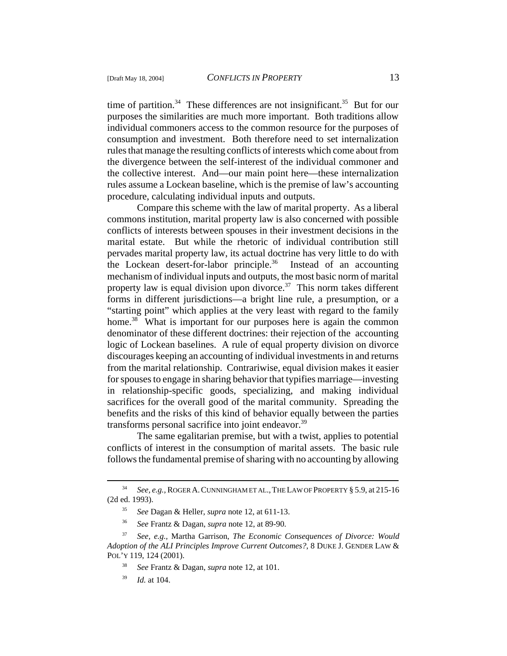time of partition.<sup>34</sup> These differences are not insignificant.<sup>35</sup> But for our purposes the similarities are much more important. Both traditions allow individual commoners access to the common resource for the purposes of consumption and investment. Both therefore need to set internalization rules that manage the resulting conflicts of interests which come about from the divergence between the self-interest of the individual commoner and the collective interest. And—our main point here—these internalization rules assume a Lockean baseline, which is the premise of law's accounting procedure, calculating individual inputs and outputs.

Compare this scheme with the law of marital property. As a liberal commons institution, marital property law is also concerned with possible conflicts of interests between spouses in their investment decisions in the marital estate. But while the rhetoric of individual contribution still pervades marital property law, its actual doctrine has very little to do with the Lockean desert-for-labor principle.<sup>36</sup> Instead of an accounting mechanism of individual inputs and outputs, the most basic norm of marital property law is equal division upon divorce.<sup>37</sup> This norm takes different forms in different jurisdictions—a bright line rule, a presumption, or a "starting point" which applies at the very least with regard to the family home.<sup>38</sup> What is important for our purposes here is again the common denominator of these different doctrines: their rejection of the accounting logic of Lockean baselines. A rule of equal property division on divorce discourages keeping an accounting of individual investments in and returns from the marital relationship. Contrariwise, equal division makes it easier for spouses to engage in sharing behavior that typifies marriage—investing in relationship-specific goods, specializing, and making individual sacrifices for the overall good of the marital community. Spreading the benefits and the risks of this kind of behavior equally between the parties transforms personal sacrifice into joint endeavor.<sup>39</sup>

The same egalitarian premise, but with a twist, applies to potential conflicts of interest in the consumption of marital assets. The basic rule follows the fundamental premise of sharing with no accounting by allowing

<sup>34</sup> *See, e.g.,* ROGER A.CUNNINGHAM ET AL.,THE LAW OF PROPERTY § 5.9, at 215-16 (2d ed. 1993).

<sup>35</sup> *See* Dagan & Heller, *supra* note 12, at 611-13.

<sup>36</sup> *See* Frantz & Dagan, *supra* note 12, at 89-90.

<sup>37</sup> *See, e.g.,* Martha Garrison, *The Economic Consequences of Divorce: Would Adoption of the ALI Principles Improve Current Outcomes?*, 8 DUKE J. GENDER LAW & POL'Y 119, 124 (2001).

<sup>38</sup> *See* Frantz & Dagan, *supra* note 12, at 101.

<sup>39</sup> *Id.* at 104.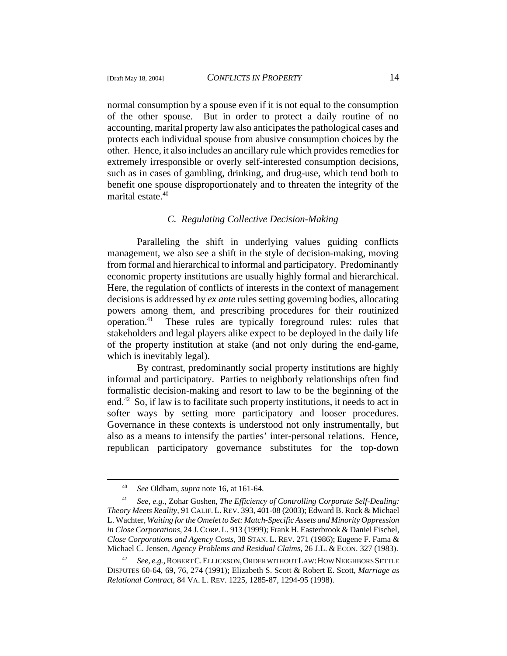normal consumption by a spouse even if it is not equal to the consumption of the other spouse. But in order to protect a daily routine of no accounting, marital property law also anticipates the pathological cases and protects each individual spouse from abusive consumption choices by the other. Hence, it also includes an ancillary rule which provides remedies for extremely irresponsible or overly self-interested consumption decisions, such as in cases of gambling, drinking, and drug-use, which tend both to benefit one spouse disproportionately and to threaten the integrity of the marital estate.<sup>40</sup>

### *C. Regulating Collective Decision-Making*

Paralleling the shift in underlying values guiding conflicts management, we also see a shift in the style of decision-making, moving from formal and hierarchical to informal and participatory. Predominantly economic property institutions are usually highly formal and hierarchical. Here, the regulation of conflicts of interests in the context of management decisions is addressed by *ex ante* rules setting governing bodies, allocating powers among them, and prescribing procedures for their routinized operation.41 These rules are typically foreground rules: rules that stakeholders and legal players alike expect to be deployed in the daily life of the property institution at stake (and not only during the end-game, which is inevitably legal).

By contrast, predominantly social property institutions are highly informal and participatory. Parties to neighborly relationships often find formalistic decision-making and resort to law to be the beginning of the end.42 So, if law is to facilitate such property institutions, it needs to act in softer ways by setting more participatory and looser procedures. Governance in these contexts is understood not only instrumentally, but also as a means to intensify the parties' inter-personal relations. Hence, republican participatory governance substitutes for the top-down

<sup>40</sup> *See* Oldham, *supra* note 16, at 161-64.

<sup>41</sup> *See, e.g.*, Zohar Goshen, *The Efficiency of Controlling Corporate Self-Dealing: Theory Meets Reality,* 91 CALIF. L.REV. 393, 401-08 (2003); Edward B. Rock & Michael L. Wachter, *Waiting for the Omelet to Set: Match-Specific Assets and Minority Oppression in Close Corporations*, 24 J.CORP.L. 913 (1999); Frank H. Easterbrook & Daniel Fischel, *Close Corporations and Agency Costs*, 38 STAN. L. REV. 271 (1986); Eugene F. Fama & Michael C. Jensen, *Agency Problems and Residual Claims*, 26 J.L. & ECON. 327 (1983).

<sup>42</sup> *See, e.g.,* ROBERT C.ELLICKSON,ORDER WITHOUT LAW:HOW NEIGHBORS SETTLE DISPUTES 60-64, 69, 76, 274 (1991); Elizabeth S. Scott & Robert E. Scott, *Marriage as Relational Contract*, 84 VA. L. REV. 1225, 1285-87, 1294-95 (1998).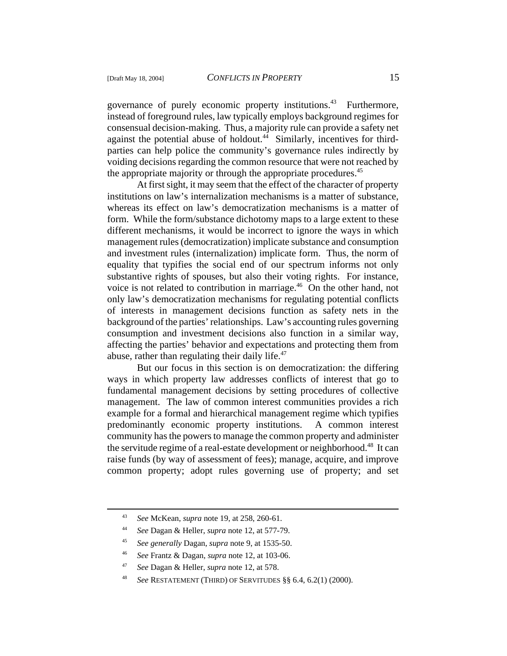governance of purely economic property institutions.<sup>43</sup> Furthermore, instead of foreground rules, law typically employs background regimes for consensual decision-making. Thus, a majority rule can provide a safety net against the potential abuse of holdout.<sup>44</sup> Similarly, incentives for thirdparties can help police the community's governance rules indirectly by voiding decisions regarding the common resource that were not reached by the appropriate majority or through the appropriate procedures.<sup>45</sup>

At first sight, it may seem that the effect of the character of property institutions on law's internalization mechanisms is a matter of substance, whereas its effect on law's democratization mechanisms is a matter of form. While the form/substance dichotomy maps to a large extent to these different mechanisms, it would be incorrect to ignore the ways in which management rules (democratization) implicate substance and consumption and investment rules (internalization) implicate form. Thus, the norm of equality that typifies the social end of our spectrum informs not only substantive rights of spouses, but also their voting rights. For instance, voice is not related to contribution in marriage.<sup>46</sup> On the other hand, not only law's democratization mechanisms for regulating potential conflicts of interests in management decisions function as safety nets in the background of the parties' relationships. Law's accounting rules governing consumption and investment decisions also function in a similar way, affecting the parties' behavior and expectations and protecting them from abuse, rather than regulating their daily life. $47$ 

But our focus in this section is on democratization: the differing ways in which property law addresses conflicts of interest that go to fundamental management decisions by setting procedures of collective management. The law of common interest communities provides a rich example for a formal and hierarchical management regime which typifies predominantly economic property institutions. A common interest community has the powers to manage the common property and administer the servitude regime of a real-estate development or neighborhood.<sup>48</sup> It can raise funds (by way of assessment of fees); manage, acquire, and improve common property; adopt rules governing use of property; and set

<sup>43</sup> *See* McKean, *supra* note 19, at 258, 260-61.

<sup>44</sup> *See* Dagan & Heller, *supra* note 12, at 577-79.

<sup>45</sup> *See generally* Dagan, *supra* note 9, at 1535-50.

<sup>46</sup> *See* Frantz & Dagan, *supra* note 12, at 103-06.

<sup>47</sup> *See* Dagan & Heller, *supra* note 12, at 578.

<sup>48</sup> *See* RESTATEMENT (THIRD) OF SERVITUDES §§ 6.4, 6.2(1) (2000).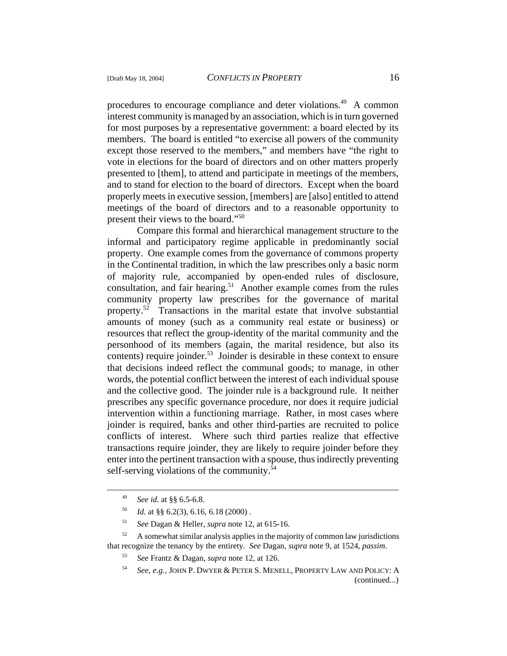procedures to encourage compliance and deter violations.<sup>49</sup> A common interest community is managed by an association, which is in turn governed for most purposes by a representative government: a board elected by its members. The board is entitled "to exercise all powers of the community except those reserved to the members," and members have "the right to vote in elections for the board of directors and on other matters properly presented to [them], to attend and participate in meetings of the members, and to stand for election to the board of directors. Except when the board properly meets in executive session, [members] are [also] entitled to attend meetings of the board of directors and to a reasonable opportunity to present their views to the board."<sup>50</sup>

Compare this formal and hierarchical management structure to the informal and participatory regime applicable in predominantly social property. One example comes from the governance of commons property in the Continental tradition, in which the law prescribes only a basic norm of majority rule, accompanied by open-ended rules of disclosure, consultation, and fair hearing.<sup>51</sup> Another example comes from the rules community property law prescribes for the governance of marital property.<sup>52</sup> Transactions in the marital estate that involve substantial amounts of money (such as a community real estate or business) or resources that reflect the group-identity of the marital community and the personhood of its members (again, the marital residence, but also its contents) require joinder.<sup>53</sup> Joinder is desirable in these context to ensure that decisions indeed reflect the communal goods; to manage, in other words, the potential conflict between the interest of each individual spouse and the collective good. The joinder rule is a background rule. It neither prescribes any specific governance procedure, nor does it require judicial intervention within a functioning marriage. Rather, in most cases where joinder is required, banks and other third-parties are recruited to police conflicts of interest. Where such third parties realize that effective transactions require joinder, they are likely to require joinder before they enter into the pertinent transaction with a spouse, thus indirectly preventing self-serving violations of the community.<sup>54</sup>

<sup>49</sup> *See id*. at §§ 6.5-6.8.

 $1d.$  at §§ 6.2(3), 6.16, 6.18 (2000).

<sup>51</sup> *See* Dagan & Heller, *supra* note 12, at 615-16.

 $52$  A somewhat similar analysis applies in the majority of common law jurisdictions that recognize the tenancy by the entirety. *See* Dagan, *supra* note 9, at 1524, *passim*.

<sup>53</sup> *See* Frantz & Dagan, *supra* note 12, at 126.

<sup>54</sup> *See, e.g.,* JOHN P. DWYER & PETER S. MENELL, PROPERTY LAW AND POLICY: A (continued...)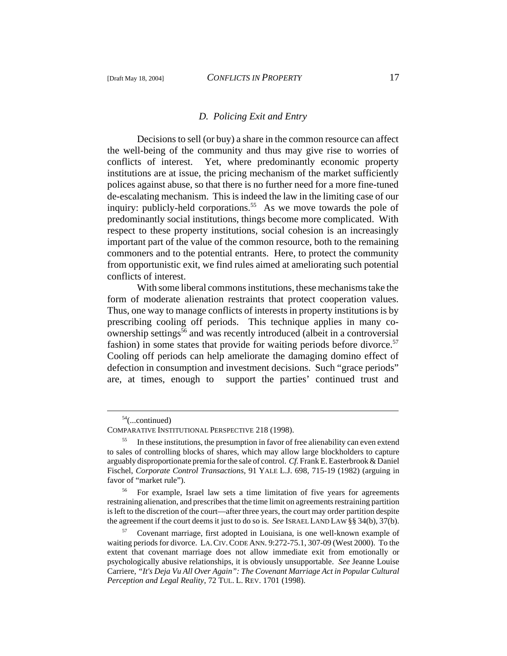#### *D. Policing Exit and Entry*

Decisions to sell (or buy) a share in the common resource can affect the well-being of the community and thus may give rise to worries of conflicts of interest. Yet, where predominantly economic property institutions are at issue, the pricing mechanism of the market sufficiently polices against abuse, so that there is no further need for a more fine-tuned de-escalating mechanism. This is indeed the law in the limiting case of our inquiry: publicly-held corporations.<sup>55</sup> As we move towards the pole of predominantly social institutions, things become more complicated. With respect to these property institutions, social cohesion is an increasingly important part of the value of the common resource, both to the remaining commoners and to the potential entrants. Here, to protect the community from opportunistic exit, we find rules aimed at ameliorating such potential conflicts of interest.

With some liberal commons institutions, these mechanisms take the form of moderate alienation restraints that protect cooperation values. Thus, one way to manage conflicts of interests in property institutions is by prescribing cooling off periods. This technique applies in many coownership settings<sup>56</sup> and was recently introduced (albeit in a controversial fashion) in some states that provide for waiting periods before divorce.<sup>57</sup> Cooling off periods can help ameliorate the damaging domino effect of defection in consumption and investment decisions. Such "grace periods" are, at times, enough to support the parties' continued trust and

<sup>54(...</sup>continued)

COMPARATIVE INSTITUTIONAL PERSPECTIVE 218 (1998).

<sup>&</sup>lt;sup>55</sup> In these institutions, the presumption in favor of free alienability can even extend to sales of controlling blocks of shares, which may allow large blockholders to capture arguably disproportionate premia for the sale of control. *Cf.* Frank E. Easterbrook & Daniel Fischel, *Corporate Control Transactions*, 91 YALE L.J. 698, 715-19 (1982) (arguing in favor of "market rule").

<sup>&</sup>lt;sup>56</sup> For example, Israel law sets a time limitation of five years for agreements restraining alienation, and prescribes that the time limit on agreements restraining partition is left to the discretion of the court—after three years, the court may order partition despite the agreement if the court deems it just to do so is. *See* ISRAEL LAND LAW §§ 34(b), 37(b).

<sup>57</sup> Covenant marriage, first adopted in Louisiana, is one well-known example of waiting periods for divorce. LA.CIV.CODE ANN. 9:272-75.1, 307-09 (West 2000). To the extent that covenant marriage does not allow immediate exit from emotionally or psychologically abusive relationships, it is obviously unsupportable. *See* Jeanne Louise Carriere, *"It's Deja Vu All Over Again": The Covenant Marriage Act in Popular Cultural Perception and Legal Reality*, 72 TUL. L. REV. 1701 (1998).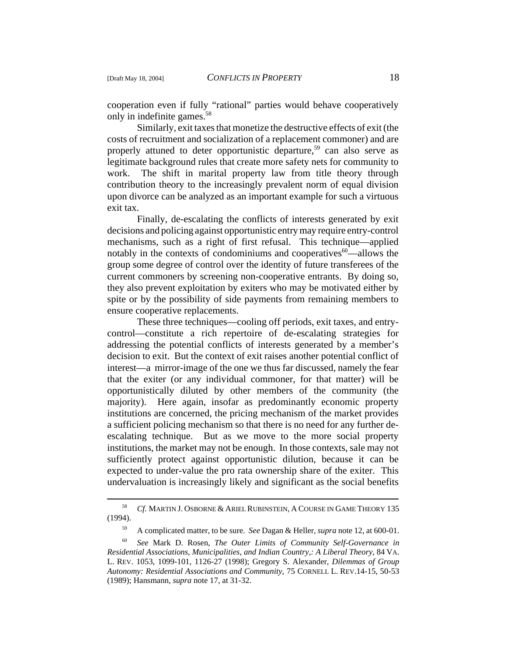cooperation even if fully "rational" parties would behave cooperatively only in indefinite games.58

Similarly, exit taxes that monetize the destructive effects of exit (the costs of recruitment and socialization of a replacement commoner) and are properly attuned to deter opportunistic departure,<sup>59</sup> can also serve as legitimate background rules that create more safety nets for community to work. The shift in marital property law from title theory through contribution theory to the increasingly prevalent norm of equal division upon divorce can be analyzed as an important example for such a virtuous exit tax.

Finally, de-escalating the conflicts of interests generated by exit decisions and policing against opportunistic entry may require entry-control mechanisms, such as a right of first refusal. This technique—applied notably in the contexts of condominiums and cooperatives $60$ —allows the group some degree of control over the identity of future transferees of the current commoners by screening non-cooperative entrants. By doing so, they also prevent exploitation by exiters who may be motivated either by spite or by the possibility of side payments from remaining members to ensure cooperative replacements.

These three techniques—cooling off periods, exit taxes, and entrycontrol—constitute a rich repertoire of de-escalating strategies for addressing the potential conflicts of interests generated by a member's decision to exit. But the context of exit raises another potential conflict of interest—a mirror-image of the one we thus far discussed, namely the fear that the exiter (or any individual commoner, for that matter) will be opportunistically diluted by other members of the community (the majority). Here again, insofar as predominantly economic property institutions are concerned, the pricing mechanism of the market provides a sufficient policing mechanism so that there is no need for any further deescalating technique. But as we move to the more social property institutions, the market may not be enough. In those contexts, sale may not sufficiently protect against opportunistic dilution, because it can be expected to under-value the pro rata ownership share of the exiter. This undervaluation is increasingly likely and significant as the social benefits

<sup>58</sup> *Cf.* MARTIN J. OSBORNE & ARIEL RUBINSTEIN, A COURSE IN GAME THEORY 135 (1994).

<sup>59</sup> A complicated matter, to be sure. *See* Dagan & Heller, *supra* note 12, at 600-01.

<sup>60</sup> *See* Mark D. Rosen, *The Outer Limits of Community Self-Governance in Residential Associations, Municipalities, and Indian Country,: A Liberal Theory*, 84 VA. L. REV. 1053, 1099-101, 1126-27 (1998); Gregory S. Alexander, *Dilemmas of Group Autonomy: Residential Associations and Community*, 75 CORNELL L. REV.14-15, 50-53 (1989); Hansmann, *supra* note 17, at 31-32.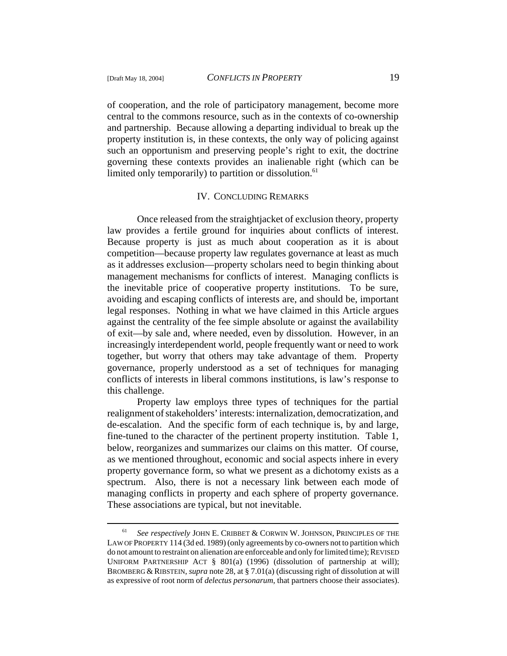of cooperation, and the role of participatory management, become more central to the commons resource, such as in the contexts of co-ownership and partnership. Because allowing a departing individual to break up the property institution is, in these contexts, the only way of policing against such an opportunism and preserving people's right to exit, the doctrine governing these contexts provides an inalienable right (which can be limited only temporarily) to partition or dissolution.<sup>61</sup>

### IV. CONCLUDING REMARKS

Once released from the straightjacket of exclusion theory, property law provides a fertile ground for inquiries about conflicts of interest. Because property is just as much about cooperation as it is about competition—because property law regulates governance at least as much as it addresses exclusion—property scholars need to begin thinking about management mechanisms for conflicts of interest. Managing conflicts is the inevitable price of cooperative property institutions. To be sure, avoiding and escaping conflicts of interests are, and should be, important legal responses. Nothing in what we have claimed in this Article argues against the centrality of the fee simple absolute or against the availability of exit—by sale and, where needed, even by dissolution. However, in an increasingly interdependent world, people frequently want or need to work together, but worry that others may take advantage of them. Property governance, properly understood as a set of techniques for managing conflicts of interests in liberal commons institutions, is law's response to this challenge.

Property law employs three types of techniques for the partial realignment of stakeholders' interests: internalization, democratization, and de-escalation. And the specific form of each technique is, by and large, fine-tuned to the character of the pertinent property institution. Table 1, below, reorganizes and summarizes our claims on this matter. Of course, as we mentioned throughout, economic and social aspects inhere in every property governance form, so what we present as a dichotomy exists as a spectrum. Also, there is not a necessary link between each mode of managing conflicts in property and each sphere of property governance. These associations are typical, but not inevitable.

<sup>61</sup> *See respectively* JOHN E. CRIBBET & CORWIN W. JOHNSON, PRINCIPLES OF THE LAW OF PROPERTY 114 (3d ed. 1989) (only agreements by co-owners not to partition which do not amount to restraint on alienation are enforceable and only for limited time); REVISED UNIFORM PARTNERSHIP ACT § 801(a) (1996) (dissolution of partnership at will); BROMBERG & RIBSTEIN, *supra* note 28, at § 7.01(a) (discussing right of dissolution at will as expressive of root norm of *delectus personarum*, that partners choose their associates).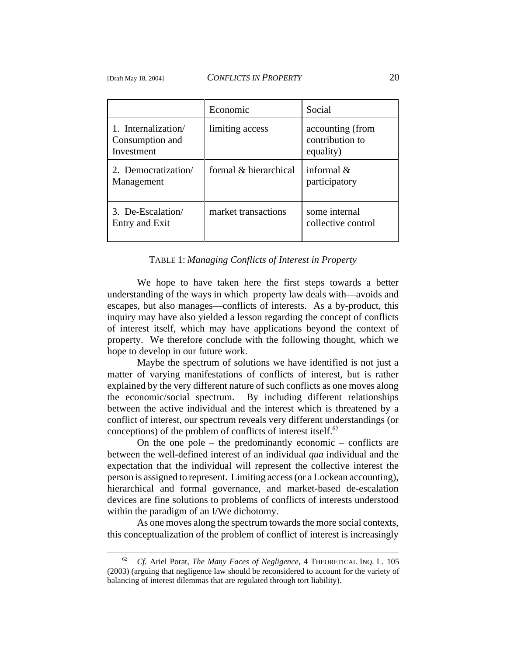|                                                      | Economic              | Social                                           |
|------------------------------------------------------|-----------------------|--------------------------------------------------|
| 1. Internalization/<br>Consumption and<br>Investment | limiting access       | accounting (from<br>contribution to<br>equality) |
| 2. Democratization/<br>Management                    | formal & hierarchical | informal $\&$<br>participatory                   |
| 3. De-Escalation/<br>Entry and Exit                  | market transactions   | some internal<br>collective control              |

#### TABLE 1: *Managing Conflicts of Interest in Property*

We hope to have taken here the first steps towards a better understanding of the ways in which property law deals with—avoids and escapes, but also manages—conflicts of interests. As a by-product, this inquiry may have also yielded a lesson regarding the concept of conflicts of interest itself, which may have applications beyond the context of property. We therefore conclude with the following thought, which we hope to develop in our future work.

Maybe the spectrum of solutions we have identified is not just a matter of varying manifestations of conflicts of interest, but is rather explained by the very different nature of such conflicts as one moves along the economic/social spectrum. By including different relationships between the active individual and the interest which is threatened by a conflict of interest, our spectrum reveals very different understandings (or conceptions) of the problem of conflicts of interest itself.<sup>62</sup>

On the one pole – the predominantly economic – conflicts are between the well-defined interest of an individual *qua* individual and the expectation that the individual will represent the collective interest the person is assigned to represent. Limiting access (or a Lockean accounting), hierarchical and formal governance, and market-based de-escalation devices are fine solutions to problems of conflicts of interests understood within the paradigm of an I/We dichotomy.

As one moves along the spectrum towards the more social contexts, this conceptualization of the problem of conflict of interest is increasingly

<sup>62</sup> *Cf.* Ariel Porat, *The Many Faces of Negligence*, 4 THEORETICAL INQ. L. 105 (2003) (arguing that negligence law should be reconsidered to account for the variety of balancing of interest dilemmas that are regulated through tort liability).